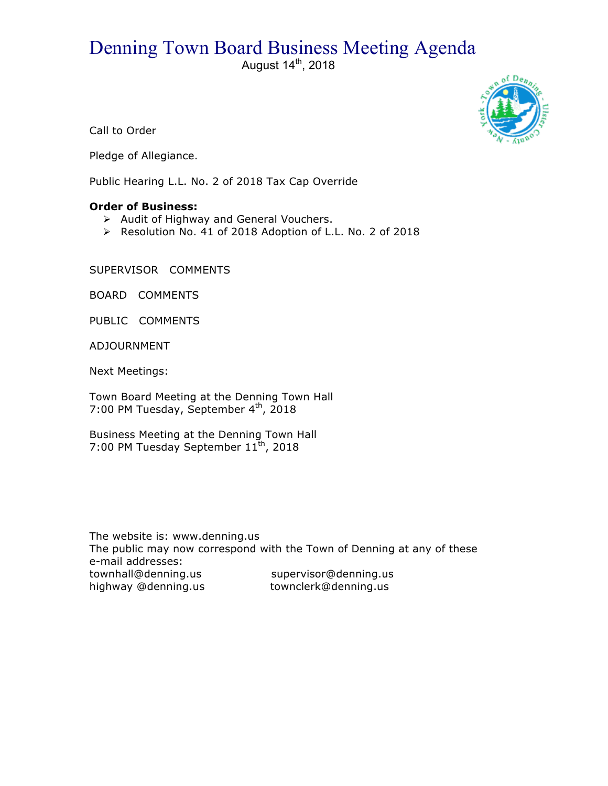## Denning Town Board Business Meeting Agenda

August  $14^{\text{th}}$ , 2018



Call to Order

Pledge of Allegiance.

Public Hearing L.L. No. 2 of 2018 Tax Cap Override

## **Order of Business:**

- $\triangleright$  Audit of Highway and General Vouchers.
- ▶ Resolution No. 41 of 2018 Adoption of L.L. No. 2 of 2018

SUPERVISOR COMMENTS

BOARD COMMENTS

PUBLIC COMMENTS

ADJOURNMENT

Next Meetings:

Town Board Meeting at the Denning Town Hall 7:00 PM Tuesday, September 4th, 2018

Business Meeting at the Denning Town Hall 7:00 PM Tuesday September  $11^{\text{th}}$ , 2018

The website is: www.denning.us The public may now correspond with the Town of Denning at any of these e-mail addresses: townhall@denning.us supervisor@denning.us highway @denning.us townclerk@denning.us